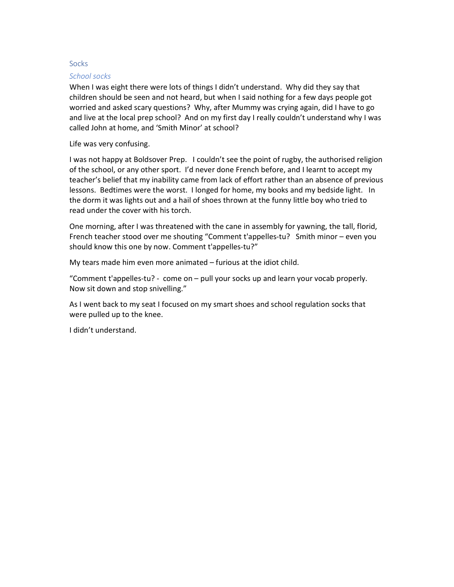## **Socks**

## School socks

When I was eight there were lots of things I didn't understand. Why did they say that children should be seen and not heard, but when I said nothing for a few days people got worried and asked scary questions? Why, after Mummy was crying again, did I have to go and live at the local prep school? And on my first day I really couldn't understand why I was called John at home, and 'Smith Minor' at school?

Life was very confusing.

I was not happy at Boldsover Prep. I couldn't see the point of rugby, the authorised religion of the school, or any other sport. I'd never done French before, and I learnt to accept my teacher's belief that my inability came from lack of effort rather than an absence of previous lessons. Bedtimes were the worst. I longed for home, my books and my bedside light. In the dorm it was lights out and a hail of shoes thrown at the funny little boy who tried to read under the cover with his torch.

One morning, after I was threatened with the cane in assembly for yawning, the tall, florid, French teacher stood over me shouting "Comment t'appelles-tu? Smith minor – even you should know this one by now. Comment t'appelles-tu?"

My tears made him even more animated – furious at the idiot child.

"Comment t'appelles-tu? - come on – pull your socks up and learn your vocab properly. Now sit down and stop snivelling."

As I went back to my seat I focused on my smart shoes and school regulation socks that were pulled up to the knee.

I didn't understand.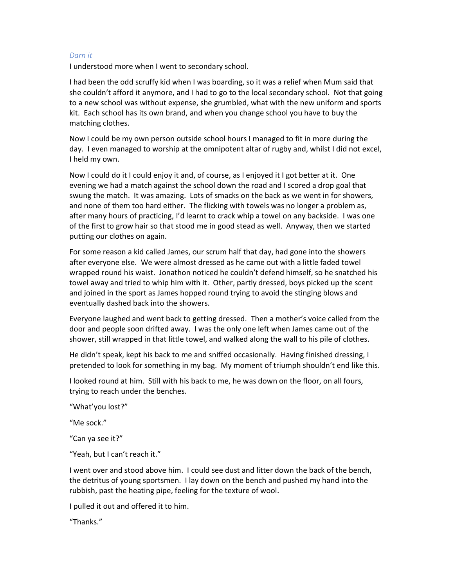## Darn it

I understood more when I went to secondary school.

I had been the odd scruffy kid when I was boarding, so it was a relief when Mum said that she couldn't afford it anymore, and I had to go to the local secondary school. Not that going to a new school was without expense, she grumbled, what with the new uniform and sports kit. Each school has its own brand, and when you change school you have to buy the matching clothes.

Now I could be my own person outside school hours I managed to fit in more during the day. I even managed to worship at the omnipotent altar of rugby and, whilst I did not excel, I held my own.

Now I could do it I could enjoy it and, of course, as I enjoyed it I got better at it. One evening we had a match against the school down the road and I scored a drop goal that swung the match. It was amazing. Lots of smacks on the back as we went in for showers, and none of them too hard either. The flicking with towels was no longer a problem as, after many hours of practicing, I'd learnt to crack whip a towel on any backside. I was one of the first to grow hair so that stood me in good stead as well. Anyway, then we started putting our clothes on again.

For some reason a kid called James, our scrum half that day, had gone into the showers after everyone else. We were almost dressed as he came out with a little faded towel wrapped round his waist. Jonathon noticed he couldn't defend himself, so he snatched his towel away and tried to whip him with it. Other, partly dressed, boys picked up the scent and joined in the sport as James hopped round trying to avoid the stinging blows and eventually dashed back into the showers.

Everyone laughed and went back to getting dressed. Then a mother's voice called from the door and people soon drifted away. I was the only one left when James came out of the shower, still wrapped in that little towel, and walked along the wall to his pile of clothes.

He didn't speak, kept his back to me and sniffed occasionally. Having finished dressing, I pretended to look for something in my bag. My moment of triumph shouldn't end like this.

I looked round at him. Still with his back to me, he was down on the floor, on all fours, trying to reach under the benches.

"What'you lost?"

"Me sock."

"Can ya see it?"

"Yeah, but I can't reach it."

I went over and stood above him. I could see dust and litter down the back of the bench, the detritus of young sportsmen. I lay down on the bench and pushed my hand into the rubbish, past the heating pipe, feeling for the texture of wool.

I pulled it out and offered it to him.

"Thanks."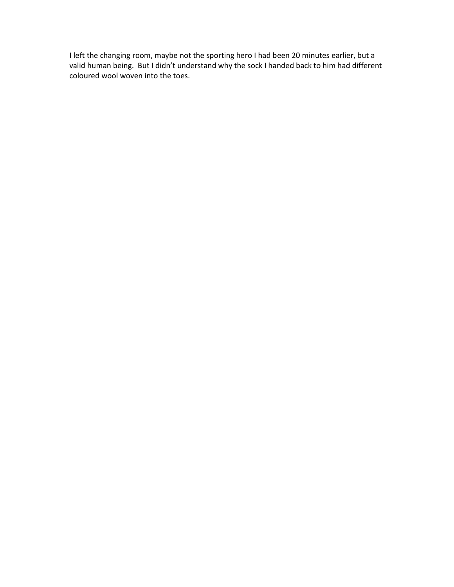I left the changing room, maybe not the sporting hero I had been 20 minutes earlier, but a valid human being. But I didn't understand why the sock I handed back to him had different coloured wool woven into the toes.